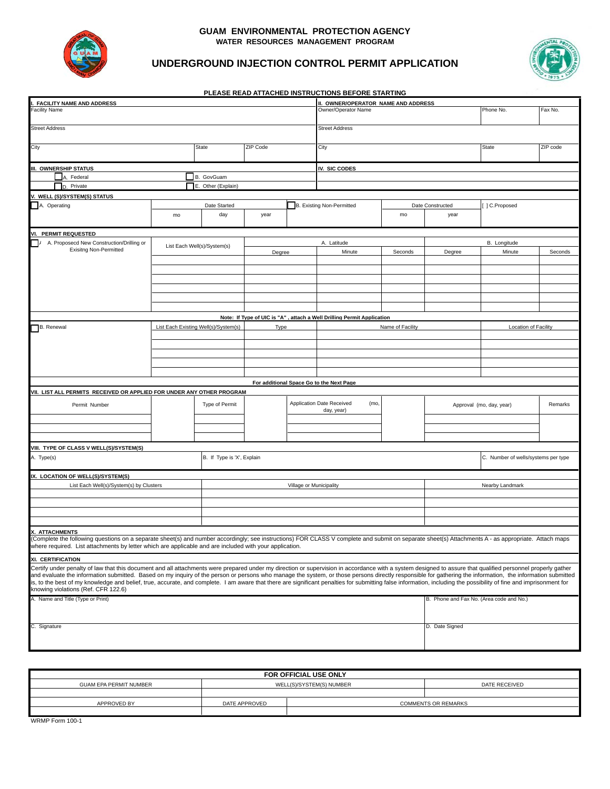

#### **GUAM ENVIRONMENTAL PROTECTION AGENCY WATER RESOURCES MANAGEMENT PROGRAM**

**PLEASE READ ATTACHED INSTRUCTIONS BEFORE STARTING**



### **UNDERGROUND INJECTION CONTROL PERMIT APPLICATION**

| <b>FACILITY NAME AND ADDRESS</b>                                                                                                                                                                                                                                                                                                                                                                                                                                                                                                                                                                                                                                                       |                             |                                      |                         |  | II. OWNER/OPERATOR NAME AND ADDRESS                                     |                  |                                          |                                     |          |
|----------------------------------------------------------------------------------------------------------------------------------------------------------------------------------------------------------------------------------------------------------------------------------------------------------------------------------------------------------------------------------------------------------------------------------------------------------------------------------------------------------------------------------------------------------------------------------------------------------------------------------------------------------------------------------------|-----------------------------|--------------------------------------|-------------------------|--|-------------------------------------------------------------------------|------------------|------------------------------------------|-------------------------------------|----------|
| acility Name                                                                                                                                                                                                                                                                                                                                                                                                                                                                                                                                                                                                                                                                           |                             |                                      |                         |  | Owner/Operator Name<br>Phone No.                                        |                  |                                          |                                     | Fax No.  |
|                                                                                                                                                                                                                                                                                                                                                                                                                                                                                                                                                                                                                                                                                        |                             |                                      |                         |  |                                                                         |                  |                                          |                                     |          |
| <b>Street Address</b>                                                                                                                                                                                                                                                                                                                                                                                                                                                                                                                                                                                                                                                                  |                             |                                      |                         |  | <b>Street Address</b>                                                   |                  |                                          |                                     |          |
| City                                                                                                                                                                                                                                                                                                                                                                                                                                                                                                                                                                                                                                                                                   |                             | State                                | ZIP Code                |  | City                                                                    |                  |                                          | State                               | ZIP code |
| III. OWNERSHIP STATUS                                                                                                                                                                                                                                                                                                                                                                                                                                                                                                                                                                                                                                                                  |                             |                                      |                         |  | IV. SIC CODES                                                           |                  |                                          |                                     |          |
| A. Federal                                                                                                                                                                                                                                                                                                                                                                                                                                                                                                                                                                                                                                                                             |                             | B. GovGuam                           |                         |  |                                                                         |                  |                                          |                                     |          |
| D. Private                                                                                                                                                                                                                                                                                                                                                                                                                                                                                                                                                                                                                                                                             |                             | E. Other (Explain)                   |                         |  |                                                                         |                  |                                          |                                     |          |
| . WELL (S)/SYSTEM(S) STATUS                                                                                                                                                                                                                                                                                                                                                                                                                                                                                                                                                                                                                                                            |                             |                                      |                         |  |                                                                         |                  |                                          |                                     |          |
| A. Operating                                                                                                                                                                                                                                                                                                                                                                                                                                                                                                                                                                                                                                                                           | Date Started<br>day<br>mo   |                                      | year                    |  | B. Existing Non-Permitted                                               |                  | ] C.Proposed<br>Date Constructed         |                                     |          |
|                                                                                                                                                                                                                                                                                                                                                                                                                                                                                                                                                                                                                                                                                        |                             |                                      |                         |  |                                                                         | mo               | year                                     |                                     |          |
| VI. PERMIT REQUESTED                                                                                                                                                                                                                                                                                                                                                                                                                                                                                                                                                                                                                                                                   |                             |                                      |                         |  |                                                                         |                  |                                          |                                     |          |
| A. Proposecd New Construction/Drilling or                                                                                                                                                                                                                                                                                                                                                                                                                                                                                                                                                                                                                                              | List Each Well(s)/System(s) |                                      | Degree                  |  | A. Latitude                                                             |                  | B. Longitude                             |                                     |          |
| <b>Exisitng Non-Permitted</b>                                                                                                                                                                                                                                                                                                                                                                                                                                                                                                                                                                                                                                                          |                             |                                      |                         |  | Minute                                                                  | Seconds          | Degree                                   | Minute                              | Seconds  |
|                                                                                                                                                                                                                                                                                                                                                                                                                                                                                                                                                                                                                                                                                        |                             |                                      |                         |  |                                                                         |                  |                                          |                                     |          |
|                                                                                                                                                                                                                                                                                                                                                                                                                                                                                                                                                                                                                                                                                        |                             |                                      |                         |  |                                                                         |                  |                                          |                                     |          |
|                                                                                                                                                                                                                                                                                                                                                                                                                                                                                                                                                                                                                                                                                        |                             |                                      |                         |  |                                                                         |                  |                                          |                                     |          |
|                                                                                                                                                                                                                                                                                                                                                                                                                                                                                                                                                                                                                                                                                        |                             |                                      |                         |  |                                                                         |                  |                                          |                                     |          |
|                                                                                                                                                                                                                                                                                                                                                                                                                                                                                                                                                                                                                                                                                        |                             |                                      |                         |  |                                                                         |                  |                                          |                                     |          |
|                                                                                                                                                                                                                                                                                                                                                                                                                                                                                                                                                                                                                                                                                        |                             |                                      |                         |  |                                                                         |                  |                                          |                                     |          |
|                                                                                                                                                                                                                                                                                                                                                                                                                                                                                                                                                                                                                                                                                        |                             |                                      |                         |  | Note: If Tvpe of UIC is "A" . attach a Well Drilling Permit Application |                  |                                          |                                     |          |
| B. Renewal                                                                                                                                                                                                                                                                                                                                                                                                                                                                                                                                                                                                                                                                             |                             | List Each Existing Well(s)/System(s) | Type                    |  |                                                                         | Name of Facility |                                          | Location of Facility                |          |
|                                                                                                                                                                                                                                                                                                                                                                                                                                                                                                                                                                                                                                                                                        |                             |                                      |                         |  |                                                                         |                  |                                          |                                     |          |
|                                                                                                                                                                                                                                                                                                                                                                                                                                                                                                                                                                                                                                                                                        |                             |                                      |                         |  |                                                                         |                  |                                          |                                     |          |
|                                                                                                                                                                                                                                                                                                                                                                                                                                                                                                                                                                                                                                                                                        |                             |                                      |                         |  |                                                                         |                  |                                          |                                     |          |
|                                                                                                                                                                                                                                                                                                                                                                                                                                                                                                                                                                                                                                                                                        |                             |                                      |                         |  |                                                                         |                  |                                          |                                     |          |
|                                                                                                                                                                                                                                                                                                                                                                                                                                                                                                                                                                                                                                                                                        |                             |                                      |                         |  |                                                                         |                  |                                          |                                     |          |
| VII. LIST ALL PERMITS RECEIVED OR APPLIED FOR UNDER ANY OTHER PROGRAM                                                                                                                                                                                                                                                                                                                                                                                                                                                                                                                                                                                                                  |                             |                                      |                         |  | For additional Space Go to the Next Page                                |                  |                                          |                                     |          |
|                                                                                                                                                                                                                                                                                                                                                                                                                                                                                                                                                                                                                                                                                        |                             |                                      |                         |  |                                                                         |                  |                                          |                                     |          |
| Permit Number                                                                                                                                                                                                                                                                                                                                                                                                                                                                                                                                                                                                                                                                          |                             | Type of Permit                       |                         |  | <b>Application Date Received</b><br>(mo,<br>day, year)                  |                  |                                          | Approval (mo, day, year)            | Remarks  |
|                                                                                                                                                                                                                                                                                                                                                                                                                                                                                                                                                                                                                                                                                        |                             |                                      |                         |  |                                                                         |                  |                                          |                                     |          |
|                                                                                                                                                                                                                                                                                                                                                                                                                                                                                                                                                                                                                                                                                        |                             |                                      |                         |  |                                                                         |                  |                                          |                                     |          |
|                                                                                                                                                                                                                                                                                                                                                                                                                                                                                                                                                                                                                                                                                        |                             |                                      |                         |  |                                                                         |                  |                                          |                                     |          |
| VIII.  TYPE OF CLASS V WELL(S)/SYSTEM(S)                                                                                                                                                                                                                                                                                                                                                                                                                                                                                                                                                                                                                                               |                             |                                      |                         |  |                                                                         |                  |                                          |                                     |          |
| A. Type(s)                                                                                                                                                                                                                                                                                                                                                                                                                                                                                                                                                                                                                                                                             |                             | B. If Type is 'X', Explain           |                         |  |                                                                         |                  |                                          | C. Number of wells/systems per type |          |
|                                                                                                                                                                                                                                                                                                                                                                                                                                                                                                                                                                                                                                                                                        |                             |                                      |                         |  |                                                                         |                  |                                          |                                     |          |
| IX. LOCATION OF WELL(S)/SYSTEM(S)                                                                                                                                                                                                                                                                                                                                                                                                                                                                                                                                                                                                                                                      |                             |                                      |                         |  |                                                                         |                  |                                          |                                     |          |
| List Each Well(s)/System(s) by Clusters                                                                                                                                                                                                                                                                                                                                                                                                                                                                                                                                                                                                                                                |                             |                                      | Village or Municipality |  |                                                                         |                  | Nearby Landmark                          |                                     |          |
|                                                                                                                                                                                                                                                                                                                                                                                                                                                                                                                                                                                                                                                                                        |                             |                                      |                         |  |                                                                         |                  |                                          |                                     |          |
|                                                                                                                                                                                                                                                                                                                                                                                                                                                                                                                                                                                                                                                                                        |                             |                                      |                         |  |                                                                         |                  |                                          |                                     |          |
|                                                                                                                                                                                                                                                                                                                                                                                                                                                                                                                                                                                                                                                                                        |                             |                                      |                         |  |                                                                         |                  |                                          |                                     |          |
|                                                                                                                                                                                                                                                                                                                                                                                                                                                                                                                                                                                                                                                                                        |                             |                                      |                         |  |                                                                         |                  |                                          |                                     |          |
| X. ATTACHMENTS<br>(Complete the following questions on a separate sheet(s) and number accordingly; see instructions) FOR CLASS V complete and submit on separate sheet(s) Attachments A - as appropriate. Attach maps                                                                                                                                                                                                                                                                                                                                                                                                                                                                  |                             |                                      |                         |  |                                                                         |                  |                                          |                                     |          |
| where required.  List attachments by letter which are applicable and are included with your application.                                                                                                                                                                                                                                                                                                                                                                                                                                                                                                                                                                               |                             |                                      |                         |  |                                                                         |                  |                                          |                                     |          |
| XI. CERTIFICATION                                                                                                                                                                                                                                                                                                                                                                                                                                                                                                                                                                                                                                                                      |                             |                                      |                         |  |                                                                         |                  |                                          |                                     |          |
| Certify under penalty of law that this document and all attachments were prepared under my direction or supervision in accordance with a system designed to assure that qualified personnel properly gather<br>and evaluate the information submitted. Based on my inquiry of the person or persons who manage the system, or those persons directly responsible for gathering the information, the information submitted<br>is, to the best of my knowledge and belief, true, accurate, and complete. I am aware that there are significant penalties for submitting false information, including the possibility of fine and imprisonment for<br>knowing violations (Ref. CFR 122.6) |                             |                                      |                         |  |                                                                         |                  |                                          |                                     |          |
| A. Name and Title (Type or Print)                                                                                                                                                                                                                                                                                                                                                                                                                                                                                                                                                                                                                                                      |                             |                                      |                         |  |                                                                         |                  | B. Phone and Fax No. (Area code and No.) |                                     |          |
| C. Signature                                                                                                                                                                                                                                                                                                                                                                                                                                                                                                                                                                                                                                                                           |                             |                                      |                         |  |                                                                         | D. Date Signed   |                                          |                                     |          |

| FOR OFFICIAL USE ONLY  |               |                          |                            |  |
|------------------------|---------------|--------------------------|----------------------------|--|
| GUAM EPA PERMIT NUMBER |               | WELL(S)/SYSTEM(S) NUMBER | DATE RECEIVED              |  |
|                        |               |                          |                            |  |
| APPROVED BY            | DATE APPROVED |                          | <b>COMMENTS OR REMARKS</b> |  |
|                        |               |                          |                            |  |
| $\cdots$<br>.          |               |                          |                            |  |

WRMP Form 100-1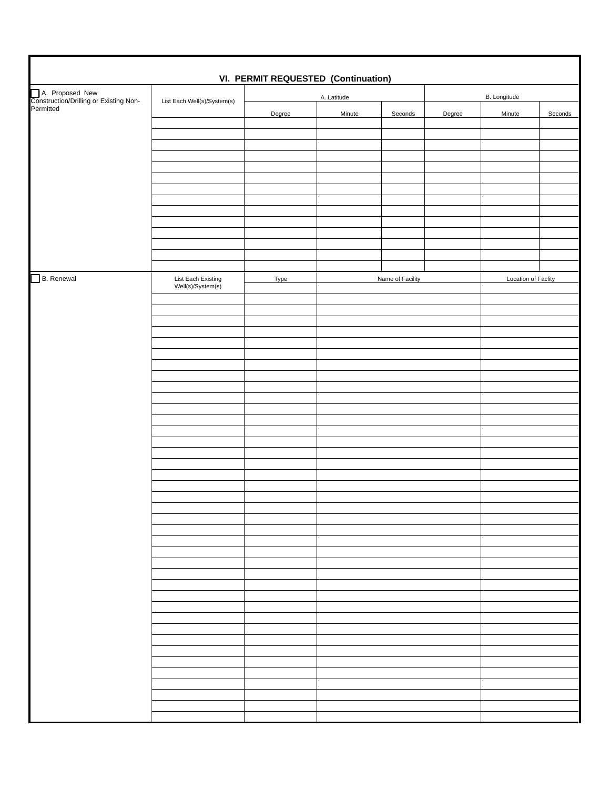| <b>VI. PERMIT REQUESTED (Continuation)</b>                             |                                         |        |                  |         |              |                            |         |
|------------------------------------------------------------------------|-----------------------------------------|--------|------------------|---------|--------------|----------------------------|---------|
| A. Proposed New<br>Construction/Drilling or Existing Non-<br>Permitted | List Each Well(s)/System(s)             |        | A. Latitude      |         | B. Longitude |                            |         |
|                                                                        |                                         | Degree | Minute           | Seconds | Degree       | Minute                     | Seconds |
|                                                                        |                                         |        |                  |         |              |                            |         |
|                                                                        |                                         |        |                  |         |              |                            |         |
|                                                                        |                                         |        |                  |         |              |                            |         |
|                                                                        |                                         |        |                  |         |              |                            |         |
|                                                                        |                                         |        |                  |         |              |                            |         |
|                                                                        |                                         |        |                  |         |              |                            |         |
|                                                                        |                                         |        |                  |         |              |                            |         |
|                                                                        |                                         |        |                  |         |              |                            |         |
|                                                                        |                                         |        |                  |         |              |                            |         |
| B. Renewal                                                             |                                         | Type   | Name of Facility |         |              | <b>Location of Faclity</b> |         |
|                                                                        | List Each Existing<br>Well(s)/System(s) |        |                  |         |              |                            |         |
|                                                                        |                                         |        |                  |         |              |                            |         |
|                                                                        |                                         |        |                  |         |              |                            |         |
|                                                                        |                                         |        |                  |         |              |                            |         |
|                                                                        |                                         |        |                  |         |              |                            |         |
|                                                                        |                                         |        |                  |         |              |                            |         |
|                                                                        |                                         |        |                  |         |              |                            |         |
|                                                                        |                                         |        |                  |         |              |                            |         |
|                                                                        |                                         |        |                  |         |              |                            |         |
|                                                                        |                                         |        |                  |         |              |                            |         |
|                                                                        |                                         |        |                  |         |              |                            |         |
|                                                                        |                                         |        |                  |         |              |                            |         |
|                                                                        |                                         |        |                  |         |              |                            |         |
|                                                                        |                                         |        |                  |         |              |                            |         |
|                                                                        |                                         |        |                  |         |              |                            |         |
|                                                                        |                                         |        |                  |         |              |                            |         |
|                                                                        |                                         |        |                  |         |              |                            |         |
|                                                                        |                                         |        |                  |         |              |                            |         |
|                                                                        |                                         |        |                  |         |              |                            |         |
|                                                                        |                                         |        |                  |         |              |                            |         |
|                                                                        |                                         |        |                  |         |              |                            |         |
|                                                                        |                                         |        |                  |         |              |                            |         |
|                                                                        |                                         |        |                  |         |              |                            |         |
|                                                                        |                                         |        |                  |         |              |                            |         |
|                                                                        |                                         |        |                  |         |              |                            |         |
|                                                                        |                                         |        |                  |         |              |                            |         |
|                                                                        |                                         |        |                  |         |              |                            |         |
|                                                                        |                                         |        |                  |         |              |                            |         |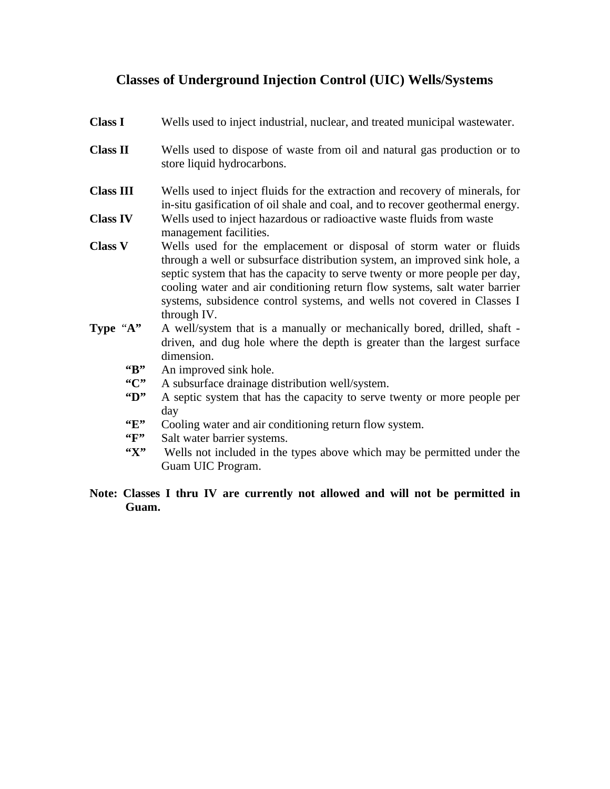# **Classes of Underground Injection Control (UIC) Wells/Systems**

| <b>Class I</b>             | Wells used to inject industrial, nuclear, and treated municipal wastewater.                                                                                                                                                                                                                                                                                                                              |
|----------------------------|----------------------------------------------------------------------------------------------------------------------------------------------------------------------------------------------------------------------------------------------------------------------------------------------------------------------------------------------------------------------------------------------------------|
| <b>Class II</b>            | Wells used to dispose of waste from oil and natural gas production or to<br>store liquid hydrocarbons.                                                                                                                                                                                                                                                                                                   |
| <b>Class III</b>           | Wells used to inject fluids for the extraction and recovery of minerals, for<br>in-situ gasification of oil shale and coal, and to recover geothermal energy.                                                                                                                                                                                                                                            |
| <b>Class IV</b>            | Wells used to inject hazardous or radioactive waste fluids from waste<br>management facilities.                                                                                                                                                                                                                                                                                                          |
| <b>Class V</b>             | Wells used for the emplacement or disposal of storm water or fluids<br>through a well or subsurface distribution system, an improved sink hole, a<br>septic system that has the capacity to serve twenty or more people per day,<br>cooling water and air conditioning return flow systems, salt water barrier<br>systems, subsidence control systems, and wells not covered in Classes I<br>through IV. |
| Type "A"                   | A well/system that is a manually or mechanically bored, drilled, shaft -<br>driven, and dug hole where the depth is greater than the largest surface<br>dimension.                                                                                                                                                                                                                                       |
| $\mathbf{G}$               | An improved sink hole.                                                                                                                                                                                                                                                                                                                                                                                   |
| C                          | A subsurface drainage distribution well/system.                                                                                                                                                                                                                                                                                                                                                          |
| $\mathbf{Y}$               | A septic system that has the capacity to serve twenty or more people per<br>day                                                                                                                                                                                                                                                                                                                          |
| $\mathbf{F}$               | Cooling water and air conditioning return flow system.                                                                                                                                                                                                                                                                                                                                                   |
| $\mathfrak{c}_{F}$         | Salt water barrier systems.                                                                                                                                                                                                                                                                                                                                                                              |
| $\mathfrak{C}(\mathbf{X})$ | Wells not included in the types above which may be permitted under the                                                                                                                                                                                                                                                                                                                                   |
|                            | Guam UIC Program.                                                                                                                                                                                                                                                                                                                                                                                        |

### **Note: Classes I thru IV are currently not allowed and will not be permitted in Guam.**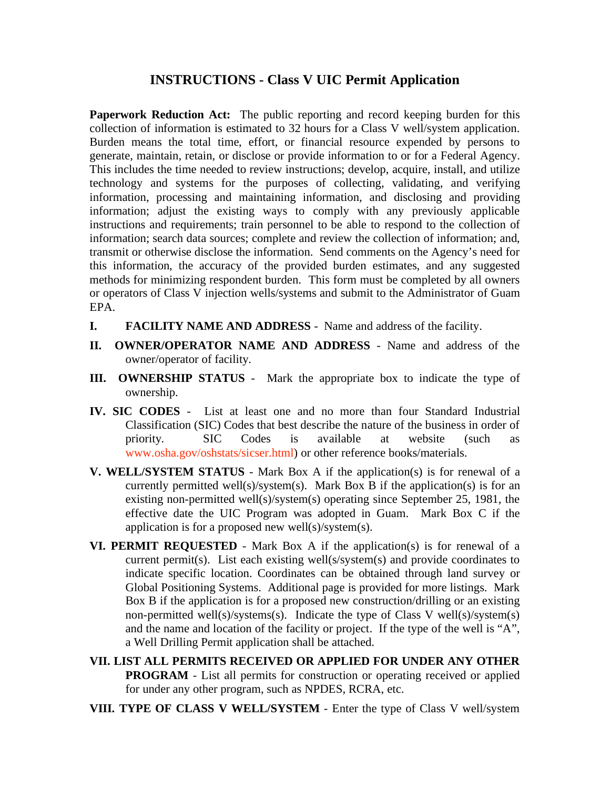## **INSTRUCTIONS - Class V UIC Permit Application**

**Paperwork Reduction Act:** The public reporting and record keeping burden for this collection of information is estimated to 32 hours for a Class V well/system application. Burden means the total time, effort, or financial resource expended by persons to generate, maintain, retain, or disclose or provide information to or for a Federal Agency. This includes the time needed to review instructions; develop, acquire, install, and utilize technology and systems for the purposes of collecting, validating, and verifying information, processing and maintaining information, and disclosing and providing information; adjust the existing ways to comply with any previously applicable instructions and requirements; train personnel to be able to respond to the collection of information; search data sources; complete and review the collection of information; and, transmit or otherwise disclose the information. Send comments on the Agency's need for this information, the accuracy of the provided burden estimates, and any suggested methods for minimizing respondent burden. This form must be completed by all owners or operators of Class V injection wells/systems and submit to the Administrator of Guam EPA.

- **I. FACILITY NAME AND ADDRESS** Name and address of the facility.
- **II. OWNER/OPERATOR NAME AND ADDRESS** Name and address of the owner/operator of facility.
- **III. OWNERSHIP STATUS** Mark the appropriate box to indicate the type of ownership.
- **IV. SIC CODES** List at least one and no more than four Standard Industrial Classification (SIC) Codes that best describe the nature of the business in order of priority. SIC Codes is available at website (such as www.osha.gov/oshstats/sicser.html) or other reference books/materials.
- **V. WELL/SYSTEM STATUS** Mark Box A if the application(s) is for renewal of a currently permitted well(s)/system(s). Mark Box B if the application(s) is for an existing non-permitted well(s)/system(s) operating since September 25, 1981, the effective date the UIC Program was adopted in Guam. Mark Box C if the application is for a proposed new well(s)/system(s).
- **VI. PERMIT REQUESTED** Mark Box A if the application(s) is for renewal of a current permit(s). List each existing well(s/system(s) and provide coordinates to indicate specific location. Coordinates can be obtained through land survey or Global Positioning Systems. Additional page is provided for more listings. Mark Box B if the application is for a proposed new construction/drilling or an existing non-permitted well(s)/systems(s). Indicate the type of Class V well(s)/system(s) and the name and location of the facility or project. If the type of the well is "A", a Well Drilling Permit application shall be attached.
- **VII. LIST ALL PERMITS RECEIVED OR APPLIED FOR UNDER ANY OTHER PROGRAM** - List all permits for construction or operating received or applied for under any other program, such as NPDES, RCRA, etc.
- **VIII. TYPE OF CLASS V WELL/SYSTEM** Enter the type of Class V well/system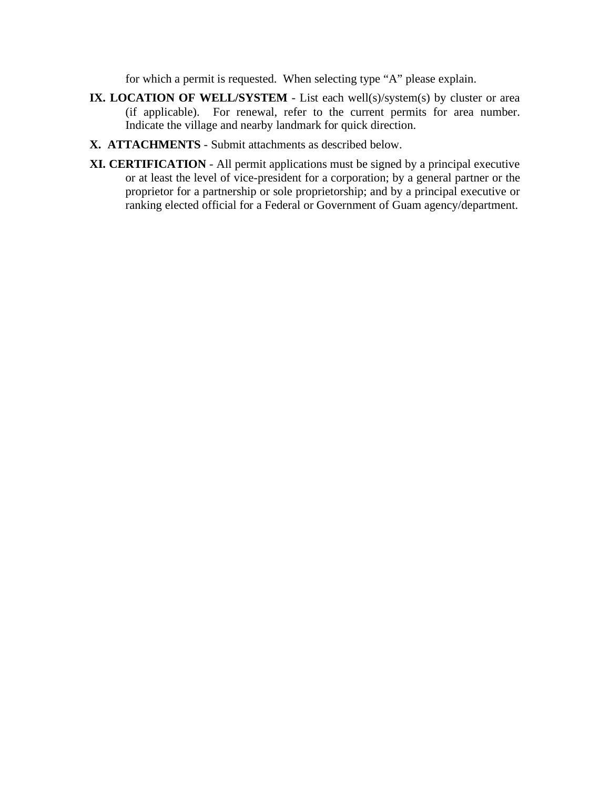for which a permit is requested. When selecting type "A" please explain.

- **IX. LOCATION OF WELL/SYSTEM** List each well(s)/system(s) by cluster or area (if applicable). For renewal, refer to the current permits for area number. Indicate the village and nearby landmark for quick direction.
- **X. ATTACHMENTS** Submit attachments as described below.
- **XI. CERTIFICATION** All permit applications must be signed by a principal executive or at least the level of vice-president for a corporation; by a general partner or the proprietor for a partnership or sole proprietorship; and by a principal executive or ranking elected official for a Federal or Government of Guam agency/department.